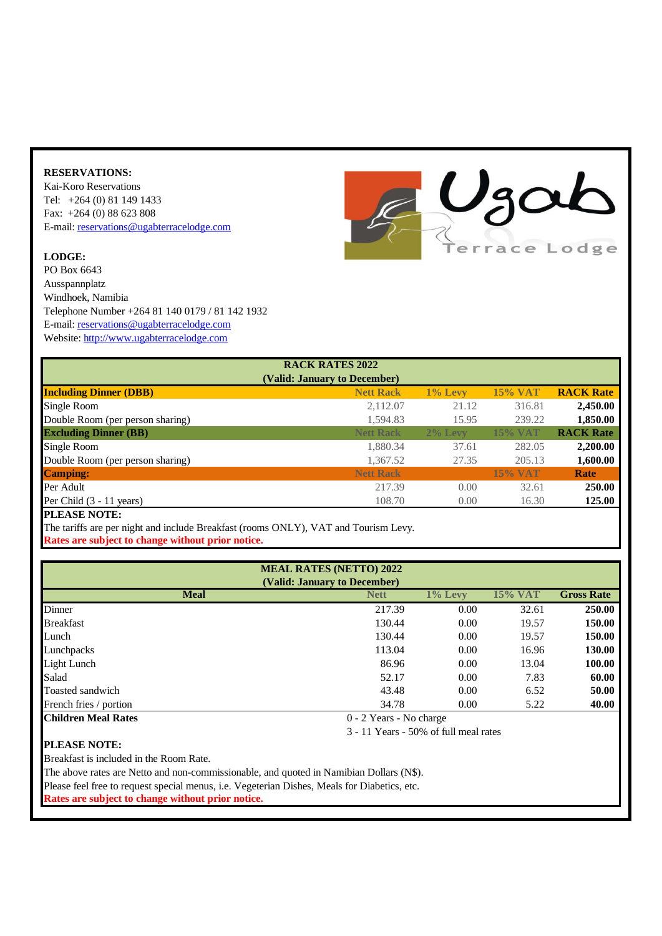## **RESERVATIONS:**

Kai-Koro Reservations Tel: +264 (0) 81 149 1433 Fax: +264 (0) 88 623 808 [E-mail:](mailto:info@ugabterracelodge.com) [reservations@ugabterracelodge.com](mailto:info@ugabterracelodge.com)

## **LODGE:**

PO Box 6643 Ausspannplatz Windhoek, Namibia Telephone Number +264 81 140 0179 / 81 142 1932 [E-mail:](mailto:info@ugabterracelodge.com) [reservations@ugabterracelodge.com](mailto:info@ugabterracelodge.com) [Website:](http://www.ugabterracelodge.com/) [http://www.ugabterracelodge.com](http://www.ugabterracelodge.com/)



| <b>RACK RATES 2022</b>           |                  |            |                |                  |  |  |  |
|----------------------------------|------------------|------------|----------------|------------------|--|--|--|
| (Valid: January to December)     |                  |            |                |                  |  |  |  |
| <b>Including Dinner (DBB)</b>    | <b>Nett Rack</b> | $1\%$ Levy | <b>15% VAT</b> | <b>RACK Rate</b> |  |  |  |
| Single Room                      | 2,112.07         | 21.12      | 316.81         | 2,450.00         |  |  |  |
| Double Room (per person sharing) | 1,594.83         | 15.95      | 239.22         | 1,850.00         |  |  |  |
| <b>Excluding Dinner (BB)</b>     | <b>Nett Rack</b> | 2% Levy    | <b>15% VAT</b> | <b>RACK Rate</b> |  |  |  |
| Single Room                      | 1,880.34         | 37.61      | 282.05         | 2,200.00         |  |  |  |
| Double Room (per person sharing) | 1,367.52         | 27.35      | 205.13         | 1,600.00         |  |  |  |
| <b>Camping:</b>                  | <b>Nett Rack</b> |            | <b>15% VAT</b> | Rate             |  |  |  |
| Per Adult                        | 217.39           | 0.00       | 32.61          | <b>250.00</b>    |  |  |  |
| Per Child $(3 - 11$ years)       | 108.70           | 0.00       | 16.30          | 125.00           |  |  |  |
| <b>DI E LOE MARE</b>             |                  |            |                |                  |  |  |  |

**PLEASE NOTE:** 

The tariffs are per night and include Breakfast (rooms ONLY), VAT and Tourism Levy. **Rates are subject to change without prior notice.**

| <b>MEAL RATES (NETTO) 2022</b> |             |                         |         |                   |  |  |  |
|--------------------------------|-------------|-------------------------|---------|-------------------|--|--|--|
| (Valid: January to December)   |             |                         |         |                   |  |  |  |
| <b>Meal</b>                    | <b>Nett</b> | 1% Levy                 | 15% VAT | <b>Gross Rate</b> |  |  |  |
| Dinner                         | 217.39      | 0.00                    | 32.61   | 250.00            |  |  |  |
| <b>Breakfast</b>               | 130.44      | 0.00                    | 19.57   | 150.00            |  |  |  |
| Lunch                          | 130.44      | 0.00                    | 19.57   | 150.00            |  |  |  |
| Lunchpacks                     | 113.04      | 0.00                    | 16.96   | 130.00            |  |  |  |
| Light Lunch                    | 86.96       | 0.00                    | 13.04   | 100.00            |  |  |  |
| Salad                          | 52.17       | 0.00                    | 7.83    | 60.00             |  |  |  |
| Toasted sandwich               | 43.48       | 0.00                    | 6.52    | 50.00             |  |  |  |
| French fries / portion         | 34.78       | 0.00                    | 5.22    | 40.00             |  |  |  |
| <b>Children Meal Rates</b>     |             | 0 - 2 Years - No charge |         |                   |  |  |  |

3 - 11 Years - 50% of full meal rates

## **PLEASE NOTE:**

Breakfast is included in the Room Rate.

The above rates are Netto and non-commissionable, and quoted in Namibian Dollars (N\$).

Please feel free to request special menus, i.e. Vegeterian Dishes, Meals for Diabetics, etc.

**Rates are subject to change without prior notice.**